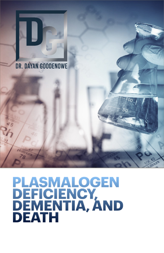

## DR. DAYAN GOODENOWE

# **PLASMALOGEN DEFICIENCY, DEMENTIA, AND DEATH**

ס0

 $5<sub>0</sub>$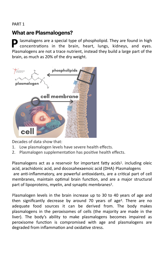## **What are Plasmalogens?**

**P** lasmalogens are a special type of phospholipid. They are found in high concentrations in the brain, heart, lungs, kidneys, and eyes. Plasmalogens are not a trace nutrient, instead they build a large part of the brain, as much as 20% of the dry weight.



Decades of data show that:

- 1. Low plasmalogen levels have severe health effects.
- 2. Plasmalogen supplementation has positive health effects.

<span id="page-1-0"></span>Plasmalogens act as a reservoir for important fatty acids<sup>1</sup>[.](#page-9-0) including oleic acid, arachidonic acid, and docosahexaenoic acid (DHA). Plasmalogens are anti-inflammatory, are powerful antioxidants, are a critical part of cell membranes, maintain optimal brain function, and are a major structural part of lipoproteins, myelin, and synaptic membranes<sup>[2](#page-9-1)</sup>.

<span id="page-1-2"></span><span id="page-1-1"></span>Plasmalogen levels in the brain increase up to 30 to 40 years of age and then significantly decrease by around 70 years of age<sup>[3](#page-9-2)</sup>. There are no adequate food sources it can be derived from. The body makes plasmalogens in the peroxisomes of cells (the majority are made in the liver). The body's ability to make plasmalogens becomes impaired as peroxisome function is compromised with age and plasmalogens are degraded from inflammation and oxidative stress.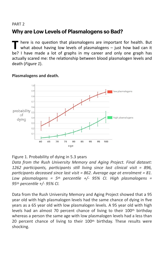## **Why are Low Levels of Plasmalogens so Bad?**

here is no question that plasmalogens are important for health. But what about having low levels of plasmalogens – just how bad can it be? I have made a lot of graphs in my career and only one graph has actually scared me: the relationship between blood plasmalogen levels and death (*Figure 1*).



### **Plasmalogens and death.**

## Figure 1. Probability of dying in 5.3 years

*Data from the Rush University Memory and Aging Project. Final dataset: 1262 participants, participants still living since last clinical visit = 896, participants deceased since last visit = 862. Average age at enrolment = 81. Low plasmalogens = 5th percentile +/- 95% CI. High plasmalogens = 95th percentile +/- 95% CI.* 

Data from the Rush University Memory and Aging Project showed that a 95 year old with high plasmalogen levels had the same chance of dying in five years as a 65 year old with low plasmalogen levels. A 95 year old with high levels had an almost 70 percent chance of living to their 100<sup>th</sup> birthday whereas a person the same age with low plasmalogen levels had a less than 20 percent chance of living to their 100<sup>th</sup> birthday. These results were shocking.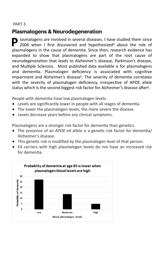## **Plasmalogens & Neurodegeneration**

<span id="page-3-0"></span>**P** lasmalogens are involved in several diseases. I have studied them since 2006 when I first discovere[d](#page-9-3) and hypothesized<sup>[4](#page-9-3)</sup> about the role of plasmalogens in the cause of dementia. Since then, research evidence has expanded to show that plasmalogens are part of the root cause of neurodegeneration that leads to Alzheimer's disease, Parkinson's disease, and Multiple Sclerosis. Most published data available is for plasmalogens and dementia. Plasmalogen deficiency is associated with cognitive impairment and Alzheimer's disease<sup>[5](#page-9-4)</sup>. The severity of dementia correlates with the severity of plasmalogen deficiency, irrespective of APOE allele status which is the second biggest risk factor for Alzheimer's disease after<sup>[6](#page-9-5)</sup>.

<span id="page-3-2"></span><span id="page-3-1"></span>People with dementia have low plasmalogen levels.

- Levels are significantly lower in people with all stages of dementia.
- The lower the plasmalogen levels, the more severe the disease.
- Levels decrease years before any clinical symptoms.

Plasmalogens are a stronger risk factor for dementia than genetics.

- The presence of an *APOE* e4 allele is a genetic risk factor for dementia/ Alzheimer's disease.
- This genetic risk is modified by the plasmalogen level of that person.
- E4 carriers with high plasmalogen levels do not have an increased risk for dementia.

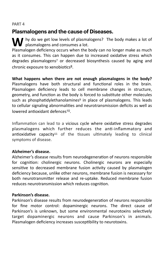## **Plasmalogens and the cause of Diseases.**

Wightary do we get low levels of plasmalogens? The body makes a lot of  $\mathbf V$  plasmalogens and consumes a lot. Plasmalogen deficiency occurs when the body can no longer make as much as it consumes. This can happen due to increased oxidative stress which degrades plasmalogens<sup>[7](#page-9-6)</sup> or decreased biosynthesis caused by aging and chronic exposure to xenobiotics $8$ .

<span id="page-4-2"></span><span id="page-4-1"></span><span id="page-4-0"></span>**What happens when there are not enough plasmalogens in the body?**  Plasmalogens have both structural and functional roles in the brain. Plasmalogen deficiency leads to cell membrane changes in structure, geometry, and function as the body is forced to substitute other molecules such as phosphatidylethanolamines<sup>[9](#page-10-0)</sup> in place of plasmalogens. This leads to cellular signaling abnormalities and neurotransmission deficits as well as lowered antioxidant defences<sup>[10](#page-10-1)</sup>.

<span id="page-4-4"></span><span id="page-4-3"></span>Inflammation can lead to a vicious cycle where oxidative stress degrades plasmalogens which further reduces the anti-inflammatory and antioxidative capacity<sup>11</sup> of the tissues ultimatel[y](#page-10-2) leading to clinical symptoms of disease.

## **Alzheimer's disease.**

Alzheimer's disease results from neurodegeneration of neurons responsible for cognition: cholinergic neurons. Cholinergic neurons are especially sensitive to decreased membrane fusion activity caused by plasmalogen deficiency because, unlike other neurons, membrane fusion is necessary for both neurotransmitter release and re-uptake. Reduced membrane fusion reduces neurotransmission which reduces cognition.

## **Parkinson's disease.**

Parkinson's disease results from neurodegeneration of neurons responsible for fine motor control: dopaminergic neurons. The direct cause of Parkinson's is unknown, but some environmental neurotoxins selectively target dopaminergic neurons and cause Parkinson's in animals. Plasmalogen deficiency increases susceptibility to neurotoxins.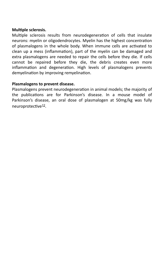### **Multiple sclerosis.**

Multiple sclerosis results from neurodegeneration of cells that insulate neurons: myelin or oligodendrocytes. Myelin has the highest concentration of plasmalogens in the whole body. When immune cells are activated to clean up a mess (inflammation), part of the myelin can be damaged and extra plasmalogens are needed to repair the cells before they die. If cells cannot be repaired before they die, the debris creates even more inflammation and degeneration. High levels of plasmalogens prevents demyelination by improving remyelination.

### **Plasmalogens to prevent disease.**

<span id="page-5-0"></span>Plasmalogens prevent neurodegeneration in animal models; the majority of the publications are for Parkinson's disease. In a mouse model of Parkinson's disease, an oral dose of plasmalogen at 50mg/kg was fully neuroprotective<sup>[12](#page-10-3)</sup>.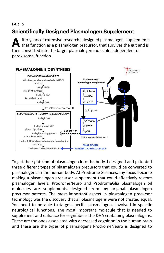## **Scientifically Designed Plasmalogen Supplement**

**A** fter years of extensive research I designed plasmalogen supplements that function as a plasmalogen precursor, that survives the gut and is then converted into the target plasmalogen molecule independent of peroxisomal function.



To get the right kind of plasmalogen into the body, I designed and patented three different types of plasmalogen precursors that could be converted to plasmalogens in the human body. At Prodrome Sciences, my focus became making a plasmalogen precursor supplement that could effectively restore plasmalogen levels. ProdromeNeuro and ProdromeGlia plasmalogen oil molecules are supplements designed from my original plasmalogen precursor patents. The most important aspect in plasmalogen precursor technology was the discovery that all plasmalogens were not created equal. You need to be able to target specific plasmalogens involved in specific neurological functions. The most important molecule that is needed to supplement and enhance for cognition is the DHA containing plasmalogens. These are the ones associated with decreased cognition in the human brain and these are the types of plasmalogens ProdromeNeuro is designed to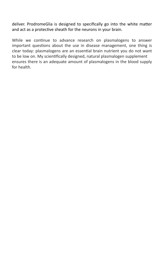deliver. ProdromeGlia is designed to specifically go into the white matter and act as a protective sheath for the neurons in your brain.

While we continue to advance research on plasmalogens to answer important questions about the use in disease management, one thing is clear today: plasmalogens are an essential brain nutrient you do not want to be low on. My scientifically designed, natural plasmalogen supplement ensures there is an adequate amount of plasmalogens in the blood supply for health.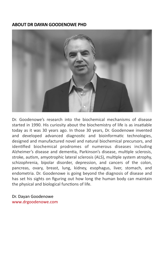## **ABOUT DR DAYAN GOODENOWE PHD**



Dr. Goodenowe's research into the biochemical mechanisms of disease started in 1990. His curiosity about the biochemistry of life is as insatiable today as it was 30 years ago. In those 30 years, Dr. Goodenowe invented and developed advanced diagnostic and bioinformatic technologies, designed and manufactured novel and natural biochemical precursors, and identified biochemical prodromes of numerous diseases including Alzheimer's disease and dementia, Parkinson's disease, multiple sclerosis, stroke, autism, amyotrophic lateral sclerosis (ALS), multiple system atrophy, schizophrenia, bipolar disorder, depression, and cancers of the colon, pancreas, ovary, breast, lung, kidney, esophagus, liver, stomach, and endometria. Dr. Goodenowe is going beyond the diagnosis of disease and has set his sights on figuring out how long the human body can maintain the physical and biological functions of life.

Dr. Dayan Goodenowe www.drgoodenowe.com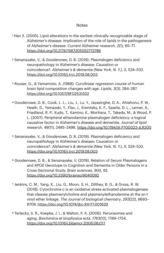#### **Notes**

- <span id="page-9-0"></span><sup>[1](#page-1-0)</sup> Han X. (2005). Lipid alterations in the earliest clinically recognizable stage of Alzheimer's disease: implication of the role of lipids in the pathogenesis of Alzheimer's disease. *Current Alzheimer research*, *2*(1), 65–77. <https://doi.org/10.2174/1567205052772786>
- <span id="page-9-1"></span> Senanayake, V., & Goodenowe, D. B. (2019). Plasmalogen deficiency and [2](#page-1-1) neuropathology in Alzheimer's disease: Causation or coincidence?. *Alzheimer's & dementia (New York, N. Y.)*, *5*, 524–532. <https://doi.org/10.1016/j.trci.2019.08.003>
- <span id="page-9-2"></span><sup>3</sup>Rouser, G., & Yamamoto, A. (1968). Curvilinear regression course of human brain lipid composition changes with age. *Lipids*, *3*(3), 284–287. <https://doi.org/10.1007/BF02531202>
- <span id="page-9-3"></span><sup>4</sup>Goodenowe, D. B., Cook, L. L., Liu, J., Lu, Y., Jayasinghe, D. A., Ahiahonu, P. W., Heath, D., Yamazaki, Y., Flax, J., Krenitsky, K. F., Sparks, D. L., Lerner, A., Friedland, R. P., Kudo, T., Kamino, K., Morihara, T., Takeda, M., & Wood, P. L. (2007). Peripheral ethanolamine plasmalogen deficiency: a logical causative factor in Alzheimer's disease and dementia. *Journal of lipid research*, *48*(11), 2485–2498.<https://doi.org/10.1194/jlr.P700023-JLR200>
- <span id="page-9-4"></span><sup>[5](#page-3-1)</sup> Senanayake, V., & Goodenowe, D. B. (2019). Plasmalogen deficiency and neuropathology in Alzheimer's disease: Causation or coincidence?. *Alzheimer's & dementia (New York, N. Y.)*, *5*, 524–532. <https://doi.org/10.1016/j.trci.2019.08.003>
- <span id="page-9-5"></span><sup>6</sup>Goodenowe, D. B., & Senanayake, V. (2019). Relation of Serum Plasmalogens and *APOE* Genotype to Cognition and Dementia in Older Persons in a Cross-Sectional Study. *Brain sciences*, *9*(4), 92. <https://doi.org/10.3390/brainsci9040092>
- <span id="page-9-6"></span><sup>[7](#page-4-0)</sup> Jenkins, C. M., Yang, K., Liu, G., Moon, S. H., Dilthey, B. G., & Gross, R. W. (2018). Cytochrome *c* is an oxidative stress-activated plasmalogenase that cleaves plasmenylcholine and plasmenylethanolamine at the *sn*-1 vinyl ether linkage. *The Journal of biological chemistry*, *293*(22), 8693– 8709. <https://doi.org/10.1074/jbc.RA117.001629>
- <span id="page-9-7"></span>8Terlecky, S. R., Koepke, J. I., & Walton, P. A. (2006). Peroxisomes and aging. *Biochimica et biophysica acta*, *1763*(12), 1749–1754. <https://doi.org/10.1016/j.bbamcr.2006.08.017>